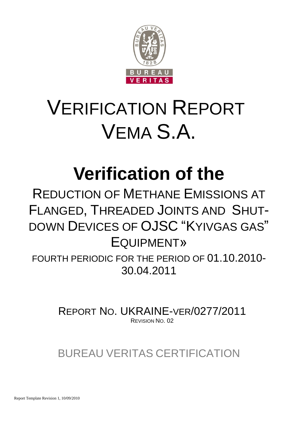

# VERIFICATION REPORT VEMA S.A.

## **Verification of the**

## REDUCTION OF METHANE EMISSIONS AT FLANGED, THREADED JOINTS AND SHUT-DOWN DEVICES OF OJSC "KYIVGAS GAS" EQUIPMENT»

FOURTH PERIODIC FOR THE PERIOD OF 01.10.2010- 30.04.2011

> REPORT NO. UKRAINE-VER/0277/2011 REVISION NO. 02

BUREAU VERITAS CERTIFICATION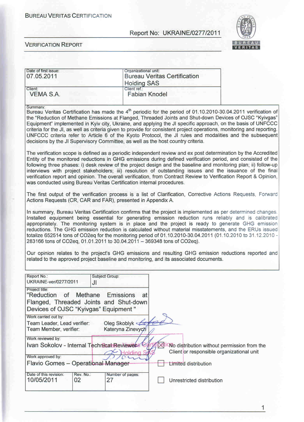#### **BURFAU VERITAS CERTIFICATION**

#### Report No: UKRAINE/0277/2011



#### **VERIFICATION REPORT**

| Date of first issue:<br>07.05.2011 | Organizational unit:<br><b>Bureau Veritas Certification</b><br><b>Holding SAS</b> |  |  |
|------------------------------------|-----------------------------------------------------------------------------------|--|--|
| Client:                            | Client ref.:                                                                      |  |  |
| VEMA S.A.                          | <b>Fabian Knodel</b>                                                              |  |  |

#### Summary:

Bureau Veritas Certification has made the 4<sup>th</sup> periodic for the period of 01.10.2010-30.04.2011 verification of the "Reduction of Methane Emissions at Flanged, Threaded Joints and Shut-down Devices of OJSC "Kyivgas" Equipment" implemented in Kyiv city, Ukraine, and applying the JI specific approach, on the basis of UNFCCC criteria for the JI, as well as criteria given to provide for consistent project operations, monitoring and reporting. UNFCCC criteria refer to Article 6 of the Kyoto Protocol, the JI rules and modalities and the subsequent decisions by the JI Supervisory Committee, as well as the host country criteria.

The verification scope is defined as a periodic independent review and ex post determination by the Accredited Entity of the monitored reductions in GHG emissions during defined verification period, and consisted of the following three phases: i) desk review of the project design and the baseline and monitoring plan; ii) follow-up interviews with project stakeholders; iii) resolution of outstanding issues and the issuance of the final verification report and opinion. The overall verification, from Contract Review to Verification Report & Opinion, was conducted using Bureau Veritas Certification internal procedures.

The first output of the verification process is a list of Clarification, Corrective Actions Requests, Forward Actions Requests (CR, CAR and FAR), presented in Appendix A.

In summary, Bureau Veritas Certification confirms that the project is implemented as per determined changes. Installed equipment being essential for generating emission reduction runs reliably and is calibrated appropriately. The monitoring system is in place and the project is ready to generate GHG emission reductions. The GHG emission reduction is calculated without material misstatements, and the ERUs issued totalize 652514 tons of CO2eq for the monitoring period of 01.10.2010-30.04.2011 (01.10.2010 to 31.12.2010 -283166 tons of CO2eq, 01.01.2011 to 30.04.2011 - 369348 tons of CO2eq).

Our opinion relates to the project's GHG emissions and resulting GHG emission reductions reported and related to the approved project baseline and monitoring, and its associated documents.

| Report No.:<br><b>UKRAINE-ver/0277/2011</b>                                           | <b>Subject Group:</b><br>JI                               |                                                                                          |
|---------------------------------------------------------------------------------------|-----------------------------------------------------------|------------------------------------------------------------------------------------------|
| Project title:<br>"Reduction of Methane<br>Devices of OJSC "Kyivgas" Equipment "      | Emissions<br>at<br>Flanged, Threaded Joints and Shut-down |                                                                                          |
| Work carried out by:<br>Team Leader, Lead verifier:<br>Team Member, verifier:         | Oleg Skoblyk<br>Kateryna Zinevych                         |                                                                                          |
| Work reviewed by:<br>Ivan Sokolov - Internal Technical Reviewees<br>Work approved by: |                                                           | Wo distribution without permission from the<br>Client or responsible organizational unit |
| Flavio Gomes - Operational Manager                                                    |                                                           | Limited distribution                                                                     |
| Date of this revision:<br>Rev. No.:<br>10/05/2011<br>02                               | Number of pages:<br>27                                    | Unrestricted distribution                                                                |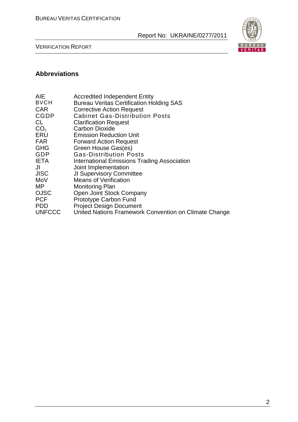

VERIFICATION REPORT

## **Abbreviations**

| AIE             | <b>Accredited Independent Entity</b>                  |
|-----------------|-------------------------------------------------------|
| <b>BVCH</b>     | <b>Bureau Veritas Certification Holding SAS</b>       |
| <b>CAR</b>      | <b>Corrective Action Request</b>                      |
| <b>CGDP</b>     | <b>Cabinet Gas-Distribution Posts</b>                 |
| CL              | <b>Clarification Request</b>                          |
| CO <sub>2</sub> | <b>Carbon Dioxide</b>                                 |
| ERU             | <b>Emission Reduction Unit</b>                        |
| <b>FAR</b>      | <b>Forward Action Request</b>                         |
| <b>GHG</b>      | Green House Gas(es)                                   |
| GDP             | <b>Gas-Distribution Posts</b>                         |
| <b>IETA</b>     | International Emissions Trading Association           |
| JI              | Joint Implementation                                  |
| <b>JISC</b>     | <b>JI Supervisory Committee</b>                       |
| MoV             | <b>Means of Verification</b>                          |
| MP.             | <b>Monitoring Plan</b>                                |
| <b>OJSC</b>     | Open Joint Stock Company                              |
| <b>PCF</b>      | Prototype Carbon Fund                                 |
| <b>PDD</b>      | <b>Project Design Document</b>                        |
| <b>UNFCCC</b>   | United Nations Framework Convention on Climate Change |
|                 |                                                       |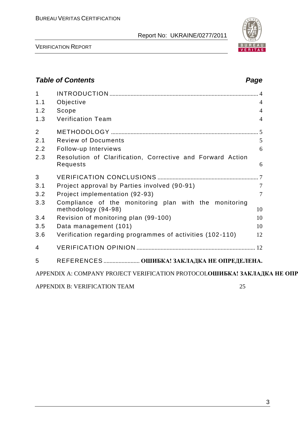

VERIFICATION REPORT

## *Table of Contents Page* 1 INTRODUCTION ................................................................................................... 4 1.1 Objective 4 1.2 Scope 4 1.3 Verification Team 4 2 METHODOLOGY .................................................................................................. 5 2.1 Review of Documents 5 2.2 Follow-up Interviews 6 2.3 Resolution of Clarification, Corrective and Forward Action Requests 6 3 VERIFICATION CONCLUSIONS ................................................................... 7 3.1 Project approval by Parties involved (90-91) 7 3.2 Project implementation (92-93) 7 3.3 Compliance of the monitoring plan with the monitoring methodology (94-98) 10 3.4 Revision of monitoring plan (99-100) 10 3.5 Data management (101) 10 3.6 Verification regarding programmes of activities (102 -110) 12 4 VERIFICATION OPINION ............................................................................... 12 5 REFERENCES ........................ **ОШИБКА! ЗАКЛАДКА НЕ ОПРЕДЕЛЕНА.** APPENDIX A: COMPANY PROJECT VERIFICATION PROTOCOLOШИБКА! ЗАКЛАДКА НЕ ОПР APPENDIX B: VERIFICATION TEAM 25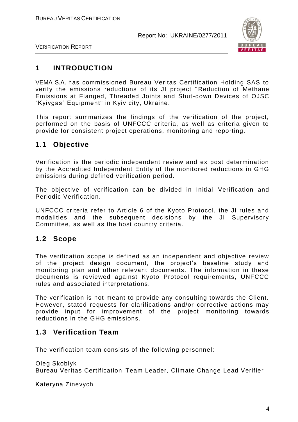

VERIFICATION REPORT

## **1 INTRODUCTION**

VEMA S.A. has commissioned Bureau Veritas Certification Holding SAS to verify the emissions reductions of its JI project "Reduction of Methane Emissions at Flanged, Threaded Joints and Shut-down Devices of OJSC "Kyivgas" Equipment" in Kyiv city, Ukraine.

This report summarizes the findings of the verification of the project, performed on the basis of UNFCCC criteria, as well as criteria given to provide for consistent project operations, monitoring and reporting.

## **1.1 Objective**

Verification is the periodic independent review and ex post determination by the Accredited Independent Entity of the monitored reductions in GHG emissions during defined verification period.

The objective of verification can be divided in Initial Verification and Periodic Verification.

UNFCCC criteria refer to Article 6 of the Kyoto Protocol, the JI rules and modalities and the subsequent decisions by the JI Supervisory Committee, as well as the host country criteria.

## **1.2 Scope**

The verification scope is defined as an independent and objective review of the project design document, the project"s baseline study and monitoring plan and other relevant documents. The information in these documents is reviewed against Kyoto Protocol requirements, UNFCCC rules and associated interpretations.

The verification is not meant to provide any consulting towards the Client. However, stated requests for clarifications and/or corrective actions may provide input for improvement of the project monitoring towards reductions in the GHG emissions.

## **1.3 Verification Team**

The verification team consists of the following personnel:

Oleg Skoblyk Bureau Veritas Certification Team Leader, Climate Change Lead Verifier

Kateryna Zinevych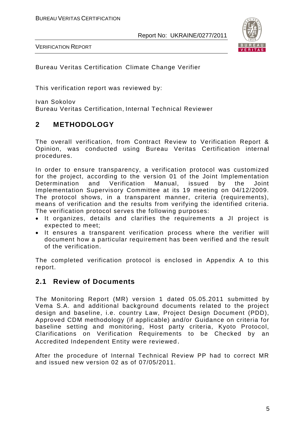

VERIFICATION REPORT

Bureau Veritas Certification Climate Change Verifier

This verification report was reviewed by:

Ivan Sokolov Bureau Veritas Certification, Internal Technical Reviewer

## **2 METHODOLOGY**

The overall verification, from Contract Review to Verification Report & Opinion, was conducted using Bureau Veritas Certification internal procedures.

In order to ensure transparency, a verification protocol was customized for the project, according to the version 01 of the Joint Implementation Determination and Verification Manual, issued by the Joint Implementation Supervisory Committee at its 19 meeting on 04/12/2009. The protocol shows, in a transparent manner, criteria (requirements), means of verification and the results from verifying the identified criteria. The verification protocol serves the following purposes:

- It organizes, details and clarifies the requirements a JI project is expected to meet;
- It ensures a transparent verification process where the verifier will document how a particular requirement has been verified and the result of the verification.

The completed verification protocol is enclosed in Appendix A to this report.

## **2.1 Review of Documents**

The Monitoring Report (MR) version 1 dated 05.05.2011 submitted by Vema S.A. and additional background documents related to the project design and baseline, i.e. country Law, Project Design Document (PDD), Approved CDM methodology (if applicable) and/or Guidance on criteria for baseline setting and monitoring, Host party criteria, Kyoto Protocol, Clarifications on Verification Requirements to be Checked by an Accredited Independent Entity were reviewed.

After the procedure of Internal Technical Review PP had to correct MR and issued new version 02 as of 07/05/2011.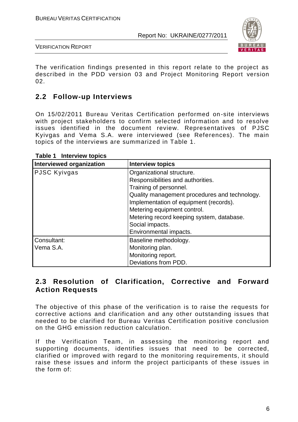

VERIFICATION REPORT

The verification findings presented in this report relate to the project as described in the PDD version 03 and Project Monitoring Report version 02.

## **2.2 Follow-up Interviews**

On 15/02/2011 Bureau Veritas Certification performed on-site interviews with project stakeholders to confirm selected information and to resolve issues identified in the document review. Representatives of PJSC Kyivgas and Vema S.A. were interviewed (see References). The main topics of the interviews are summarized in Table 1.

| <b>Interviewed organization</b> | <b>Interview topics</b>                       |
|---------------------------------|-----------------------------------------------|
| <b>PJSC Kyivgas</b>             | Organizational structure.                     |
|                                 | Responsibilities and authorities.             |
|                                 | Training of personnel.                        |
|                                 | Quality management procedures and technology. |
|                                 | Implementation of equipment (records).        |
|                                 | Metering equipment control.                   |
|                                 | Metering record keeping system, database.     |
|                                 | Social impacts.                               |
|                                 | Environmental impacts.                        |
| Consultant:                     | Baseline methodology.                         |
| Vema S.A.                       | Monitoring plan.                              |
|                                 | Monitoring report.                            |
|                                 | Deviations from PDD.                          |

**Table 1 Interview topics**

## **2.3 Resolution of Clarification, Corrective and Forward Action Requests**

The objective of this phase of the verification is to raise the requests for corrective actions and clarification and any other outstanding issues that needed to be clarified for Bureau Veritas Certification positive conclusion on the GHG emission reduction calculation.

If the Verification Team, in assessing the monitoring report and supporting documents, identifies issues that need to be corrected, clarified or improved with regard to the monitoring requirements, it should raise these issues and inform the project participants of these issues in the form of: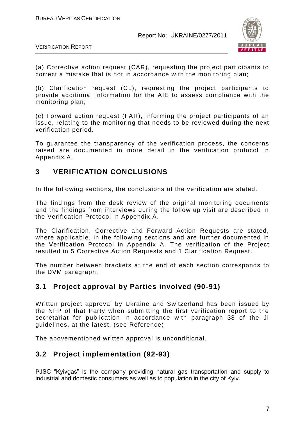

VERIFICATION REPORT

(a) Corrective action request (CAR), requesting the project participants to correct a mistake that is not in accordance with the monitoring plan;

(b) Clarification request (CL), requesting the project participants to provide additional information for the AIE to assess compliance with the monitoring plan;

(c) Forward action request (FAR), informing the project participants of an issue, relating to the monitoring that needs to be reviewed during the next verification period.

To guarantee the transparency of the verification process, the concerns raised are documented in more detail in the verification protocol in Appendix A.

## **3 VERIFICATION CONCLUSIONS**

In the following sections, the conclusions of the verification are stated.

The findings from the desk review of the original monitoring documents and the findings from interviews during the follow up visit are described in the Verification Protocol in Appendix A.

The Clarification, Corrective and Forward Action Requests are stated, where applicable, in the following sections and are further documented in the Verification Protocol in Appendix A. The verification of the Project resulted in 5 Corrective Action Requests and 1 Clarification Request.

The number between brackets at the end of each section corresponds to the DVM paragraph.

## **3.1 Project approval by Parties involved (90-91)**

Written project approval by Ukraine and Switzerland has been issued by the NFP of that Party when submitting the first verification report to the secretariat for publication in accordance with paragraph 38 of the JI guidelines, at the latest. (see Reference)

The abovementioned written approval is unconditional.

## **3.2 Project implementation (92-93)**

PJSC "Kyivgas" is the company providing natural gas transportation and supply to industrial and domestic consumers as well as to population in the city of Kyiv.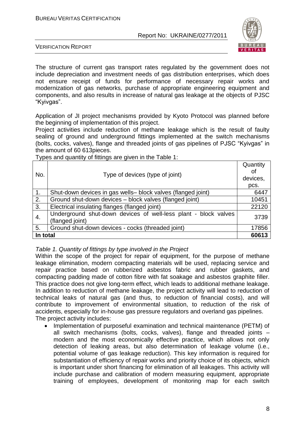

VERIFICATION REPORT

The structure of current gas transport rates regulated by the government does not include depreciation and investment needs of gas distribution enterprises, which does not ensure receipt of funds for performance of necessary repair works and modernization of gas networks, purchase of appropriate engineering equipment and components, and also results in increase of natural gas leakage at the objects of PJSC "Kyivgas".

Application of JI project mechanisms provided by Kyoto Protocol was planned before the beginning of implementation of this project.

Project activities include reduction of methane leakage which is the result of faulty sealing of ground and underground fittings implemented at the switch mechanisms (bolts, cocks, valves), flange and threaded joints of gas pipelines of PJSC "Kyivgas" in the amount of 60 613pieces.

Types and quantity of fittings are given in the Table 1:

| No.              | Type of devices (type of joint)                                                    |       |
|------------------|------------------------------------------------------------------------------------|-------|
|                  |                                                                                    | pcs.  |
| $\mathbf{1}$ .   | Shut-down devices in gas wells- block valves (flanged joint)                       | 6447  |
| $\overline{2}$ . | Ground shut-down devices - block valves (flanged joint)                            | 10451 |
| 3.               | Electrical insulating flanges (flanged joint)                                      | 22120 |
| 4.               | Underground shut-down devices of well-less plant - block valves<br>(flanged joint) | 3739  |
| 5.               | Ground shut-down devices - cocks (threaded joint)                                  | 17856 |
| In total         |                                                                                    | 60613 |

*Table 1. Quantity of fittings by type involved in the Project*

Within the scope of the project for repair of equipment, for the purpose of methane leakage elimination, modern compacting materials will be used, replacing service and repair practice based on rubberized asbestos fabric and rubber gaskets, and compacting padding made of cotton fibre with fat soakage and asbestos graphite filler. This practice does not give long-term effect, which leads to additional methane leakage. In addition to reduction of methane leakage, the project activity will lead to reduction of technical leaks of natural gas (and thus, to reduction of financial costs), and will contribute to improvement of environmental situation, to reduction of the risk of accidents, especially for in-house gas pressure regulators and overland gas pipelines. The project activity includes:

 Implementation of purposeful examination and technical maintenance (PETM) of all switch mechanisms (bolts, cocks, valves), flange and threaded joints – modern and the most economically effective practice, which allows not only detection of leaking areas, but also determination of leakage volume (i.e., potential volume of gas leakage reduction). This key information is required for substantiation of efficiency of repair works and priority choice of its objects, which is important under short financing for elimination of all leakages. This activity will include purchase and calibration of modern measuring equipment, appropriate training of employees, development of monitoring map for each switch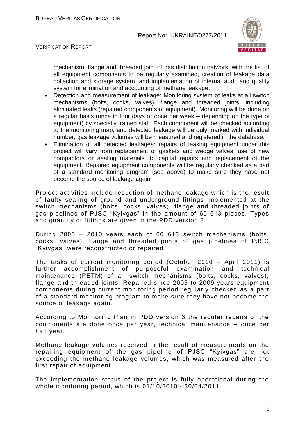

VERIFICATION REPORT

mechanism, flange and threaded joint of gas distribution network, with the list of all equipment components to be regularly examined, creation of leakage data collection and storage system, and implementation of internal audit and quality system for elimination and accounting of methane leakage.

- Detection and measurement of leakage: Monitoring system of leaks at all switch mechanisms (bolts, cocks, valves), flange and threaded joints, including eliminated leaks (repaired components of equipment). Monitoring will be done on a regular basis (once in four days or once per week – depending on the type of equipment) by specially trained staff. Each component will be checked according to the monitoring map, and detected leakage will be duly marked with individual number; gas leakage volumes will be measured and registered in the database.
- Elimination of all detected leakages: repairs of leaking equipment under this project will vary from replacement of gaskets and wedge valves, use of new compactors or sealing materials, to capital repairs and replacement of the equipment. Repaired equipment components will be regularly checked as a part of a standard monitoring program (see above) to make sure they have not become the source of leakage again.

Project activities include reduction of methane leakage which is the result of faulty sealing of ground and underground fittings implemented at the switch mechanisms (bolts, cocks, valves), flange and threaded joints of gas pipelines of PJSC "Kyivgas" in the amount of 60 613 pieces. Types and quantity of fittings are given in the PDD version 3.

During 2005 – 2010 years each of 60 613 switch mechanisms (bolts, cocks, valves), flange and threaded joints of gas pipelines of PJSC "Kyivgas" were reconstructed or repaired.

The tasks of current monitoring period (October 2010 – April 2011) is further accomplishment of purposeful examination and technical maintenance (PETM) of all switch mechanisms (bolts, cocks, valves), flange and threaded joints. Repaired since 2005 to 2009 years equipment components during current monitoring period regularly checked as a part of a standard monitoring program to make sure they have not become the source of leakage again.

According to Monitoring Plan in PDD version 3 the regular repairs оf the components are done once per year, technical maintenance – once per half year.

Methane leakage volumes received in the result of measurements on the repairing equipment of the gas pipeline of PJSC "Kyivgas" are not exceeding the methane leakage volumes, which was measured after the first repair of equipment.

The implementation status of the project is fully operational during the whole monitoring period, which is 01/10/2010 - 30/04/2011.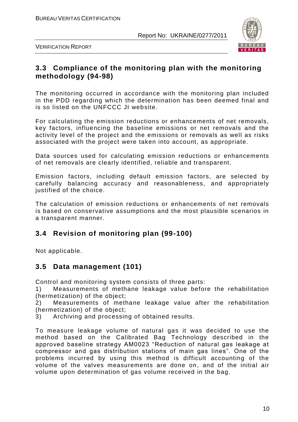

VERIFICATION REPORT

## **3.3 Compliance of the monitoring plan with the monitoring methodology (94-98)**

The monitoring occurred in accordance with the monitoring plan included in the PDD regarding which the determination has been deemed final and is so listed on the UNFCCC JI website.

For calculating the emission reductions or enhancements of net removals, key factors, influencing the baseline emissions or net removals and the activity level of the project and the emissions or removals as well as risks associated with the project were taken into account, as appropriate.

Data sources used for calculating emission reductions or enhancements of net removals are clearly identified, reliable and transparent.

Emission factors, including default emission factors, are selected by carefully balancing accuracy and reasonableness, and appropriately justified of the choice.

The calculation of emission reductions or enhancements of net removals is based on conservative assumptions and the most plausible scenarios in a transparent manner.

## **3.4 Revision of monitoring plan (99-100)**

Not applicable.

## **3.5 Data management (101)**

Control and monitoring system consists of three parts:

1) Measurements of methane leakage value before the rehabilitation (hermetization) of the object;

2) Measurements of methane leakage value after the rehabilitation (hermetization) of the object;

3) Archiving and processing of obtained results.

To measure leakage volume of natural gas it was decided to use the method based on the Calibrated Bag Technology described in the approved baseline strategy AM0023 "Reduction of natural gas leakage at compressor and gas distribution stations of main gas lines". One of the problems incurred by using this method is difficult accounting of the volume of the valves measurements are done on, and of the initial air volume upon determination of gas volume received in the bag.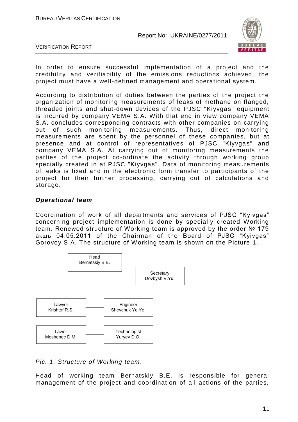

VERIFICATION REPORT

In order to ensure successful implementation of a project and the credibility and verifiability of the emissions reductions achieved, the project must have a well-defined management and operational system.

According to distribution of duties between the parties of the project the organization of monitoring measurements of leaks of methane on flanged, threaded joints and shut-down devices of the PJSC "Kiyvgas" equipment is incurred by company VEMA S.A. With that end in view company VEMA S.A. concludes corresponding contracts with other companies on carrying out of such monitoring measurements. Thus, direct monitoring measurements are spent by the personnel of these companies, but at presence and at control of representatives of PJSC "Kiyvgas" and company VEMA S.A. At carrying out of monitoring measurements the parties of the project co-ordinate the activity through working group specially created in at PJSC "Kiyvgas". Data of monitoring measurements of leaks is fixed and in the electronic form transfer to participants of the project for their further processing, carrying out of calculations and storage.

#### *Operational team*

Coordination of work of all departments and services of PJSC "Kyivgas" concerning project implementation is done by specially created Working team. Renewed structure of Working team is approved by the order № 179 акщь 04.05.2011 of the Chairman of the Board of PJSC "Kyivgas" Gorovoy S.A. The structure of Working team is shown on the Picture 1.



*Pic. 1. Structure of Working team*.

Head of working team Bernatskiy B.E. is responsible for general management of the project and coordination of all actions of the parties,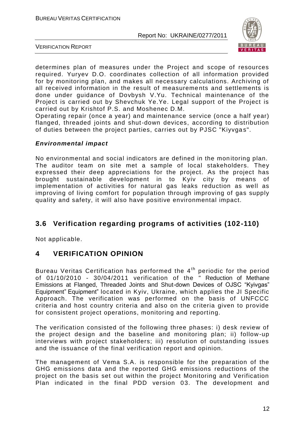

VERIFICATION REPORT

determines plan of measures under the Project and scope of resources required. Yuryev D.O. coordinates collection of all information provided for by monitoring plan, and makes all necessary calculations. Archiving of all received information in the result of measurements and settlements is done under guidance of Dovbysh V.Yu. Technical maintenance of the Project is carried out by Shevchuk Ye.Ye. Legal support of the Project is carried out by Krishtof P.S. and Moshenec D.M.

Operating repair (once a year) and maintenance service (once a half year) flanged, threaded joints and shut-down devices, according to distribution of duties between the project parties, carries out by PJSC "Kiyvgas".

#### *Environmental impact*

No environmental and social indicators are defined in the mon itoring plan. The auditor team on site met a sample of local stakeholders. They expressed their deep appreciations for the project. As the project has brought sustainable development in to Kyiv city by means of implementation of activities for natural gas leaks reduction as well as improving of living comfort for population through improving of gas supply quality and safety, it will also have positive environmental impact.

## **3.6 Verification regarding programs of activities (102-110)**

Not applicable.

## **4 VERIFICATION OPINION**

Bureau Veritas Certification has performed the 4<sup>th</sup> periodic for the period of 01/10/2010 - 30/04/2011 verification of the " Reduction of Methane Emissions at Flanged, Threaded Joints and Shut-down Devices of OJSC "Kyivgas" Equipment" Equipment" located in Kyiv, Ukraine, which applies the JI Specific Approach. The verification was performed on the basis of UNFCCC criteria and host country criteria and also on the criteria given to provide for consistent project operations, monitoring and reporting.

The verification consisted of the following three phases: i) desk review of the project design and the baseline and monitoring plan; ii) follow -up interviews with project stakeholders; iii) resolution of outstanding issues and the issuance of the final verification report and opinion.

The management of Vema S.A. is responsible for the preparation of the GHG emissions data and the reported GHG emissions reductions of the project on the basis set out within the project Monitoring and Verification Plan indicated in the final PDD version 03. The development and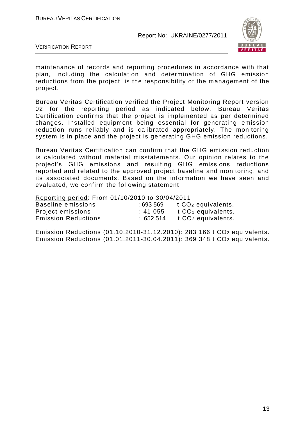

VERIFICATION REPORT

maintenance of records and reporting procedures in accordance with that plan, including the calculation and determination of GHG emission reductions from the project, is the responsibility of the management of the project.

Bureau Veritas Certification verified the Project Monitoring Report version 02 for the reporting period as indicated below. Bureau Veritas Certification confirms that the project is implemented as per determined changes. Installed equipment being essential for generating emission reduction runs reliably and is calibrated appropriately. The monitoring system is in place and the project is generating GHG emission reductions.

Bureau Veritas Certification can confirm that the GHG emission reduction is calculated without material misstatements. Our opinion relates to the project"s GHG emissions and resulting GHG emissions reductions reported and related to the approved project baseline and monitoring, and its associated documents. Based on the information we have seen and evaluated, we confirm the following statement:

Reporting period: From 01/10/2010 to 30/04/2011

| Baseline emissions         | : 693 569 | t CO <sub>2</sub> equivalents. |
|----------------------------|-----------|--------------------------------|
| Project emissions          | : 41055   | t CO <sub>2</sub> equivalents. |
| <b>Emission Reductions</b> | :652514   | t CO <sub>2</sub> equivalents. |

Emission Reductions (01.10.2010-31.12.2010): 283 166 t CO<sup>2</sup> equivalents. Emission Reductions (01.01.2011-30.04.2011): 369 348 t CO<sup>2</sup> equivalents.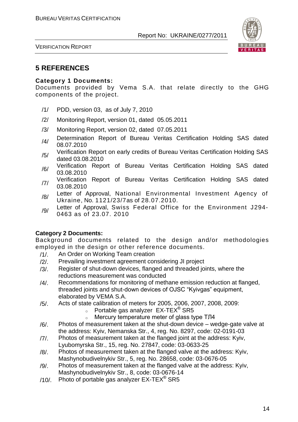

VERIFICATION REPORT

## **5 REFERENCES**

#### **Category 1 Documents:**

Documents provided by Vema S.A. that relate directly to the GHG components of the project.

- /1/ PDD, version 03, as of July 7, 2010
- /2/ Monitoring Report, version 01, dated 05.05.2011
- /3/ Monitoring Report, version 02, dated 07.05.2011
- /4/ Determination Report of Bureau Veritas Certification Holding SAS dated 08.07.2010
- /5/ Verification Report on early credits of Bureau Veritas Certification Holding SAS dated 03.08.2010
- /6/ Verification Report of Bureau Veritas Certification Holding SAS dated 03.08.2010
- /7/ Verification Report of Bureau Veritas Certification Holding SAS dated 03.08.2010
- /8/ Letter of Approval, National Environmental Investment Agency of Ukraine, No. 1121/23/7as of 28.07.2010.
- /9/ Letter of Approval, Swiss Federal Office for the Environment J294-0463 as of 23.07. 2010

#### **Category 2 Documents:**

Background documents related to the design and/or methodologies employed in the design or other reference documents.

- /1/. An Order on Working Team creation
- /2/. Prevailing investment agreement considering JI project
- /3/. Register of shut-down devices, flanged and threaded joints, where the reductions measurement was conducted
- /4/. Recommendations for monitoring of methane emission reduction at flanged, threaded joints and shut-down devices of OJSC "Kyivgas" equipment, elaborated by VEMA S.A.
- /5/. Acts of state calibration of meters for 2005, 2006, 2007, 2008, 2009:
	- $\circ$  Portable gas analyzer EX-TEX<sup>®</sup> SR5
	- <sup>o</sup> Mercury temperature meter of glass type ТЛ4
- /6/. Photos of measurement taken at the shut-down device wedge-gate valve at the address: Kyiv, Nemanska Str., 4, reg. No. 8297, code: 02-0191-03
- /7/. Photos of measurement taken at the flanged joint at the address: Kyiv, Lyubomyrska Str., 15, reg. No. 27847, code: 03-0633-25
- /8/. Photos of measurement taken at the flanged valve at the address: Kyiv, Mashynobudivelnykiv Str., 5, reg. No. 28658, code: 03-0676-05
- /9/. Photos of measurement taken at the flanged valve at the address: Kyiv, Mashynobudivelnykiv Str., 8, code: 03-0676-14
- /10/. Photo of portable gas analyzer  $EX-TEX^{\circledast}$  SR5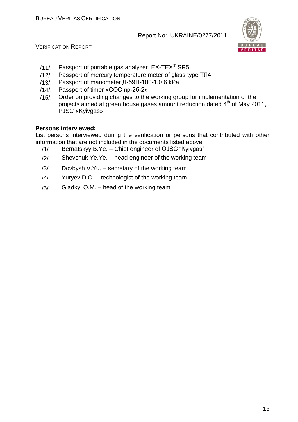



- /11/. Passport of portable gas analyzer  $EX-TEX^{\circledast}$  SR5
- /12/. Passport of mercury temperature meter of glass type ТЛ4
- /13/. Passport of manometer Д-59Н-100-1.0 6 kPa
- /14/. Passport of timer «СОС пр-2б-2»
- /15/. Order on providing changes to the working group for implementation of the projects aimed at green house gases amount reduction dated 4<sup>th</sup> of May 2011, PJSC «Kyivgas»

#### **Persons interviewed:**

List persons interviewed during the verification or persons that contributed with other information that are not included in the documents listed above.

- /1/ Bernatskyy B.Ye. Chief engineer of OJSC "Kyivgas"
- $/2$  Shevchuk Ye. Ye. head engineer of the working team
- /3/ Dovbysh V.Yu. secretary of the working team
- $/4/$  Yuryev D.O. technologist of the working team
- /5/ Gladkyi O.M. head of the working team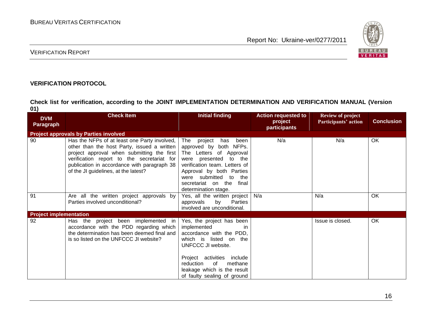

#### VERIFICATION REPORT

#### **VERIFICATION PROTOCOL**

**Check list for verification, according to the JOINT IMPLEMENTATION DETERMINATION AND VERIFICATION MANUAL (Version 01)**

| <b>DVM</b><br><b>Paragraph</b> | <b>Check Item</b>                                                                                                                                                                                                                                                                | Initial finding                                                                                                                                                                                                                                          | <b>Action requested to</b><br>project<br>participants | <b>Review of project</b><br>Participants' action | <b>Conclusion</b> |
|--------------------------------|----------------------------------------------------------------------------------------------------------------------------------------------------------------------------------------------------------------------------------------------------------------------------------|----------------------------------------------------------------------------------------------------------------------------------------------------------------------------------------------------------------------------------------------------------|-------------------------------------------------------|--------------------------------------------------|-------------------|
|                                | <b>Project approvals by Parties involved</b>                                                                                                                                                                                                                                     |                                                                                                                                                                                                                                                          |                                                       |                                                  |                   |
| 90                             | Has the NFPs of at least one Party involved,  <br>other than the host Party, issued a written<br>project approval when submitting the first<br>verification report to the secretariat for<br>publication in accordance with paragraph 38<br>of the JI guidelines, at the latest? | The project<br>has<br>been<br>approved by both NFPs.<br>The Letters of Approval<br>were presented to the<br>verification team. Letters of<br>Approval by both Parties<br>were submitted to<br>the<br>secretariat on the<br>final<br>determination stage. | N/a                                                   | N/a                                              | OK                |
| 91                             | Are all the written project approvals by<br>Parties involved unconditional?                                                                                                                                                                                                      | Yes, all the written project<br>by<br>approvals<br>Parties<br>involved are unconditional.                                                                                                                                                                | N/a                                                   | N/a                                              | OK                |
| <b>Project implementation</b>  |                                                                                                                                                                                                                                                                                  |                                                                                                                                                                                                                                                          |                                                       |                                                  |                   |
| 92                             | Has the project been implemented in<br>accordance with the PDD regarding which<br>the determination has been deemed final and<br>is so listed on the UNFCCC JI website?                                                                                                          | Yes, the project has been<br>implemented<br>accordance with the PDD,<br>which is listed on the<br>UNFCCC JI website.<br>Project activities include<br>reduction<br>methane<br>of<br>leakage which is the result<br>of faulty sealing of ground           |                                                       | Issue is closed.                                 | OK                |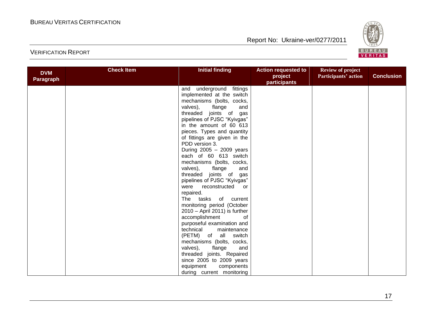

| <b>DVM</b><br>Paragraph | <b>Check Item</b> | <b>Initial finding</b>          | <b>Action requested to</b><br>project<br>participants | <b>Review of project</b><br>Participants' action | <b>Conclusion</b> |
|-------------------------|-------------------|---------------------------------|-------------------------------------------------------|--------------------------------------------------|-------------------|
|                         |                   | and underground fittings        |                                                       |                                                  |                   |
|                         |                   | implemented at the switch       |                                                       |                                                  |                   |
|                         |                   | mechanisms (bolts, cocks,       |                                                       |                                                  |                   |
|                         |                   | valves), flange<br>and          |                                                       |                                                  |                   |
|                         |                   | threaded joints of gas          |                                                       |                                                  |                   |
|                         |                   | pipelines of PJSC "Kyivgas"     |                                                       |                                                  |                   |
|                         |                   | in the amount of 60 613         |                                                       |                                                  |                   |
|                         |                   | pieces. Types and quantity      |                                                       |                                                  |                   |
|                         |                   | of fittings are given in the    |                                                       |                                                  |                   |
|                         |                   | PDD version 3.                  |                                                       |                                                  |                   |
|                         |                   | During $2005 - 2009$ years      |                                                       |                                                  |                   |
|                         |                   | each of 60 613 switch           |                                                       |                                                  |                   |
|                         |                   | mechanisms (bolts, cocks,       |                                                       |                                                  |                   |
|                         |                   | valves),<br>flange<br>and       |                                                       |                                                  |                   |
|                         |                   | threaded joints of gas          |                                                       |                                                  |                   |
|                         |                   | pipelines of PJSC "Kyivgas"     |                                                       |                                                  |                   |
|                         |                   | were<br>reconstructed<br>or     |                                                       |                                                  |                   |
|                         |                   | repaired.                       |                                                       |                                                  |                   |
|                         |                   | The tasks of current            |                                                       |                                                  |                   |
|                         |                   | monitoring period (October      |                                                       |                                                  |                   |
|                         |                   | $2010 -$ April 2011) is further |                                                       |                                                  |                   |
|                         |                   | accomplishment<br>0f            |                                                       |                                                  |                   |
|                         |                   | purposeful examination and      |                                                       |                                                  |                   |
|                         |                   | technical<br>maintenance        |                                                       |                                                  |                   |
|                         |                   | (PETM) of all switch            |                                                       |                                                  |                   |
|                         |                   | mechanisms (bolts, cocks,       |                                                       |                                                  |                   |
|                         |                   | valves),<br>flange<br>and       |                                                       |                                                  |                   |
|                         |                   | threaded joints. Repaired       |                                                       |                                                  |                   |
|                         |                   | since 2005 to 2009 years        |                                                       |                                                  |                   |
|                         |                   | equipment<br>components         |                                                       |                                                  |                   |
|                         |                   | during current monitoring       |                                                       |                                                  |                   |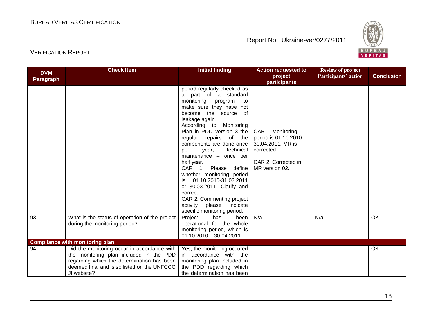

| <b>DVM</b><br><b>Paragraph</b> | <b>Check Item</b>                                                                                                                                                                                  | <b>Initial finding</b>                                                                                                                                                                                                                                                                                                                                                                                                                                                                                                                                              | <b>Action requested to</b><br>project<br>participants                                                                  | <b>Review of project</b><br>Participants' action | <b>Conclusion</b> |
|--------------------------------|----------------------------------------------------------------------------------------------------------------------------------------------------------------------------------------------------|---------------------------------------------------------------------------------------------------------------------------------------------------------------------------------------------------------------------------------------------------------------------------------------------------------------------------------------------------------------------------------------------------------------------------------------------------------------------------------------------------------------------------------------------------------------------|------------------------------------------------------------------------------------------------------------------------|--------------------------------------------------|-------------------|
|                                |                                                                                                                                                                                                    | period regularly checked as<br>a part of a standard<br>monitoring program<br>to<br>make sure they have not<br>become the source of<br>leakage again.<br>According to Monitoring<br>Plan in PDD version 3 the<br>regular repairs of the<br>components are done once<br>technical<br>year,<br>per<br>maintenance - once per<br>half year.<br>CAR 1. Please<br>define<br>whether monitoring period<br>01.10.2010-31.03.2011<br>is<br>or 30.03.2011. Clarify and<br>correct.<br>CAR 2. Commenting project<br>activity please<br>indicate<br>specific monitoring period. | CAR 1. Monitoring<br>period is 01.10.2010-<br>30.04.2011. MR is<br>corrected.<br>CAR 2. Corrected in<br>MR version 02. |                                                  |                   |
| 93                             | What is the status of operation of the project<br>during the monitoring period?                                                                                                                    | Project<br>has<br>been<br>operational for the whole<br>monitoring period, which is<br>$01.10.2010 - 30.04.2011.$                                                                                                                                                                                                                                                                                                                                                                                                                                                    | N/a                                                                                                                    | N/a                                              | OK                |
|                                | <b>Compliance with monitoring plan</b>                                                                                                                                                             |                                                                                                                                                                                                                                                                                                                                                                                                                                                                                                                                                                     |                                                                                                                        |                                                  |                   |
| 94                             | Did the monitoring occur in accordance with<br>the monitoring plan included in the PDD<br>regarding which the determination has been<br>deemed final and is so listed on the UNFCCC<br>JI website? | Yes, the monitoring occured<br>in accordance with the<br>monitoring plan included in<br>the PDD regarding which<br>the determination has been                                                                                                                                                                                                                                                                                                                                                                                                                       |                                                                                                                        |                                                  | OK                |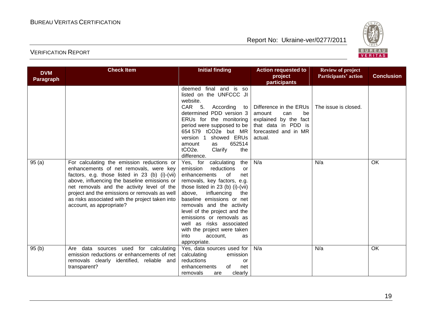

| <b>DVM</b><br>Paragraph | <b>Check Item</b>                                                                                                                                                                                                                                                                                                                                                    | <b>Initial finding</b>                                                                                                                                                                                                                                                                                                                                                                                                                     | <b>Action requested to</b><br>project                                                                                                            | <b>Review of project</b><br>Participants' action | <b>Conclusion</b> |
|-------------------------|----------------------------------------------------------------------------------------------------------------------------------------------------------------------------------------------------------------------------------------------------------------------------------------------------------------------------------------------------------------------|--------------------------------------------------------------------------------------------------------------------------------------------------------------------------------------------------------------------------------------------------------------------------------------------------------------------------------------------------------------------------------------------------------------------------------------------|--------------------------------------------------------------------------------------------------------------------------------------------------|--------------------------------------------------|-------------------|
|                         |                                                                                                                                                                                                                                                                                                                                                                      | deemed final and is so<br>listed on the UNFCCC JI<br>website.<br>CAR 5. According to<br>determined PDD version 3<br>ERUs for the monitoring<br>period were supposed to be<br>654 579 tCO2e but MR<br>version 1 showed ERUs<br>652514<br>amount<br>as<br>tCO <sub>2</sub> e.<br>Clarify<br>the                                                                                                                                              | participants<br>Difference in the ERUs<br>be<br>amount<br>can<br>explained by the fact<br>that data in PDD is<br>forecasted and in MR<br>actual. | The issue is closed.                             |                   |
| 95(a)                   | For calculating the emission reductions or<br>enhancements of net removals, were key<br>factors, e.g. those listed in 23 (b) (i)-(vii)<br>above, influencing the baseline emissions or<br>net removals and the activity level of the<br>project and the emissions or removals as well<br>as risks associated with the project taken into<br>account, as appropriate? | difference.<br>Yes, for<br>calculating<br>the  <br>emission<br>reductions<br>or<br>enhancements<br>of<br>net<br>removals, key factors, e.g.<br>those listed in 23 (b) (i)-(vii)<br>above,<br>influencing<br>the<br>baseline emissions or net<br>removals and the activity<br>level of the project and the<br>emissions or removals as<br>well as risks associated<br>with the project were taken<br>into<br>account,<br>as<br>appropriate. | N/a                                                                                                                                              | N/a                                              | <b>OK</b>         |
| 95(b)                   | Are data sources used for calculating<br>emission reductions or enhancements of net<br>removals clearly identified, reliable and<br>transparent?                                                                                                                                                                                                                     | Yes, data sources used for<br>calculating<br>emission<br>reductions<br>or<br>enhancements<br>of<br>net<br>clearly<br>removals<br>are                                                                                                                                                                                                                                                                                                       | N/a                                                                                                                                              | N/a                                              | OK                |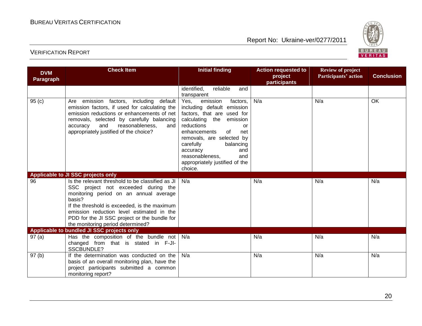

| <b>DVM</b>        | <b>Check Item</b>                                                                                                                                                                                                                                                                                                             | <b>Initial finding</b>                                                                                                                                                                                                                                                                                                 | <b>Action requested to</b><br>project | <b>Review of project</b><br>Participants' action | <b>Conclusion</b> |
|-------------------|-------------------------------------------------------------------------------------------------------------------------------------------------------------------------------------------------------------------------------------------------------------------------------------------------------------------------------|------------------------------------------------------------------------------------------------------------------------------------------------------------------------------------------------------------------------------------------------------------------------------------------------------------------------|---------------------------------------|--------------------------------------------------|-------------------|
| <b>Paragraph</b>  |                                                                                                                                                                                                                                                                                                                               |                                                                                                                                                                                                                                                                                                                        | participants                          |                                                  |                   |
|                   |                                                                                                                                                                                                                                                                                                                               | identified,<br>reliable<br>and<br>transparent                                                                                                                                                                                                                                                                          |                                       |                                                  |                   |
| 95(c)             | emission factors, including default<br>Are<br>emission factors, if used for calculating the<br>emission reductions or enhancements of net<br>removals, selected by carefully balancing<br>and<br>accuracy<br>reasonableness,<br>and<br>appropriately justified of the choice?                                                 | emission<br>factors,<br>Yes,<br>including default emission<br>factors, that are used for<br>calculating the emission<br>reductions<br>or<br>enhancements<br>of<br>net<br>removals, are selected by<br>carefully<br>balancing<br>accuracy<br>and<br>reasonableness,<br>and<br>appropriately justified of the<br>choice. | N/a                                   | N/a                                              | OK                |
|                   | Applicable to JI SSC projects only                                                                                                                                                                                                                                                                                            |                                                                                                                                                                                                                                                                                                                        |                                       |                                                  |                   |
| 96                | Is the relevant threshold to be classified as JI<br>SSC project not exceeded during the<br>monitoring period on an annual average<br>basis?<br>If the threshold is exceeded, is the maximum<br>emission reduction level estimated in the<br>PDD for the JI SSC project or the bundle for<br>the monitoring period determined? | N/a                                                                                                                                                                                                                                                                                                                    | N/a                                   | N/a                                              | N/a               |
|                   | Applicable to bundled JI SSC projects only                                                                                                                                                                                                                                                                                    |                                                                                                                                                                                                                                                                                                                        |                                       |                                                  |                   |
| 97(a)             | Has the composition of the bundle not $\big  N/a$<br>changed from that is stated in F-JI-<br>SSCBUNDLE?                                                                                                                                                                                                                       |                                                                                                                                                                                                                                                                                                                        | N/a                                   | N/a                                              | N/a               |
| 97 <sub>(b)</sub> | If the determination was conducted on the<br>basis of an overall monitoring plan, have the<br>project participants submitted a common<br>monitoring report?                                                                                                                                                                   | N/a                                                                                                                                                                                                                                                                                                                    | N/a                                   | N/a                                              | N/a               |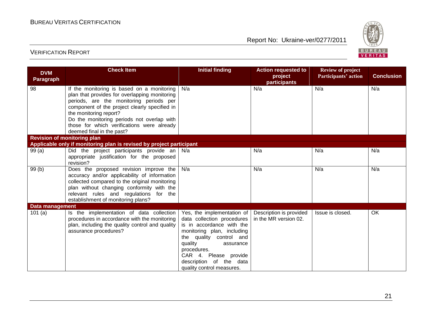

| <b>DVM</b><br>Paragraph | <b>Check Item</b>                                                                                                                                                                                                                                                                                                                          | <b>Initial finding</b>                                                                                                                                                                                                                                                 | <b>Action requested to</b><br>project<br>participants | <b>Review of project</b><br>Participants' action | <b>Conclusion</b> |
|-------------------------|--------------------------------------------------------------------------------------------------------------------------------------------------------------------------------------------------------------------------------------------------------------------------------------------------------------------------------------------|------------------------------------------------------------------------------------------------------------------------------------------------------------------------------------------------------------------------------------------------------------------------|-------------------------------------------------------|--------------------------------------------------|-------------------|
| 98                      | If the monitoring is based on a monitoring<br>plan that provides for overlapping monitoring<br>periods, are the monitoring periods per<br>component of the project clearly specified in<br>the monitoring report?<br>Do the monitoring periods not overlap with<br>those for which verifications were already<br>deemed final in the past? | N/a                                                                                                                                                                                                                                                                    | N/a                                                   | N/a                                              | N/a               |
|                         | <b>Revision of monitoring plan</b><br>Applicable only if monitoring plan is revised by project participant                                                                                                                                                                                                                                 |                                                                                                                                                                                                                                                                        |                                                       |                                                  |                   |
|                         |                                                                                                                                                                                                                                                                                                                                            |                                                                                                                                                                                                                                                                        | N/a                                                   | N/a                                              | N/a               |
| 99(a)                   | Did the project participants provide an $N/a$<br>appropriate justification for the proposed<br>revision?                                                                                                                                                                                                                                   |                                                                                                                                                                                                                                                                        |                                                       |                                                  |                   |
| 99(b)                   | Does the proposed revision improve the<br>accuracy and/or applicability of information<br>collected compared to the original monitoring<br>plan without changing conformity with the<br>relevant rules and regulations for the<br>establishment of monitoring plans?                                                                       | N/a                                                                                                                                                                                                                                                                    | N/a                                                   | N/a                                              | N/a               |
| <b>Data management</b>  |                                                                                                                                                                                                                                                                                                                                            |                                                                                                                                                                                                                                                                        |                                                       |                                                  |                   |
| 101(a)                  | Is the implementation of data collection<br>procedures in accordance with the monitoring<br>plan, including the quality control and quality<br>assurance procedures?                                                                                                                                                                       | Yes, the implementation of<br>data collection procedures<br>is in accordance with the<br>monitoring plan, including<br>the quality control and<br>quality<br>assurance<br>procedures.<br>CAR 4. Please provide<br>description of the data<br>quality control measures. | Description is provided<br>in the MR version 02.      | Issue is closed.                                 | OK                |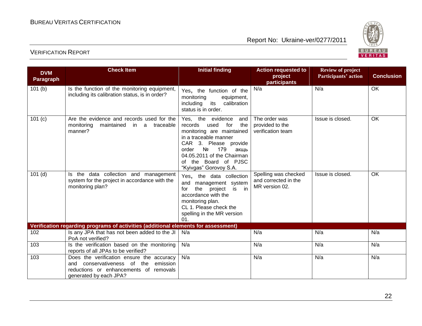

| <b>DVM</b><br>Paragraph                                                            | <b>Check Item</b>                                                                                                                                           | <b>Initial finding</b>                                                                                                                                                                                                                                 | <b>Action requested to</b><br>project                          | <b>Review of project</b><br>Participants' action | <b>Conclusion</b> |  |  |
|------------------------------------------------------------------------------------|-------------------------------------------------------------------------------------------------------------------------------------------------------------|--------------------------------------------------------------------------------------------------------------------------------------------------------------------------------------------------------------------------------------------------------|----------------------------------------------------------------|--------------------------------------------------|-------------------|--|--|
| 101(b)                                                                             | Is the function of the monitoring equipment,<br>including its calibration status, is in order?                                                              | Yes, the function of the<br>monitoring<br>equipment,<br>its calibration<br>including<br>status is in order.                                                                                                                                            | participants<br>N/a                                            | N/a                                              | OK                |  |  |
| 101(c)                                                                             | Are the evidence and records used for the<br>monitoring<br>maintained in a traceable<br>manner?                                                             | Yes, the evidence<br>and<br>used<br>for<br>the<br>records<br>monitoring are maintained<br>in a traceable manner<br>CAR 3. Please provide<br>Nº<br>order<br>179<br>акшь<br>04.05.2011 of the Chairman<br>of the Board of PJSC<br>"Kyivgas" Gorovoy S.A. | The order was<br>provided to the<br>verification team          | Issue is closed.                                 | <b>OK</b>         |  |  |
| $101$ (d)                                                                          | Is the data collection and management<br>system for the project in accordance with the<br>monitoring plan?                                                  | Yes, the data collection<br>and<br>management system<br>is in<br>the<br>project<br>for<br>accordance with the<br>monitoring plan.<br>CL 1. Please check the<br>spelling in the MR version<br>01.                                                       | Spelling was checked<br>and corrected in the<br>MR version 02. | Issue is closed.                                 | OK                |  |  |
| Verification regarding programs of activities (additional elements for assessment) |                                                                                                                                                             |                                                                                                                                                                                                                                                        |                                                                |                                                  |                   |  |  |
| 102                                                                                | Is any JPA that has not been added to the JI  <br>PoA not verified?                                                                                         | N/a                                                                                                                                                                                                                                                    | N/a                                                            | N/a                                              | N/a               |  |  |
| $\frac{103}{2}$                                                                    | Is the verification based on the monitoring<br>reports of all JPAs to be verified?                                                                          | N/a                                                                                                                                                                                                                                                    | N/a                                                            | N/a                                              | N/a               |  |  |
| 103                                                                                | Does the verification ensure the accuracy<br>emission<br>conservativeness of the<br>and<br>reductions or enhancements of removals<br>generated by each JPA? | N/a                                                                                                                                                                                                                                                    | N/a                                                            | N/a                                              | N/a               |  |  |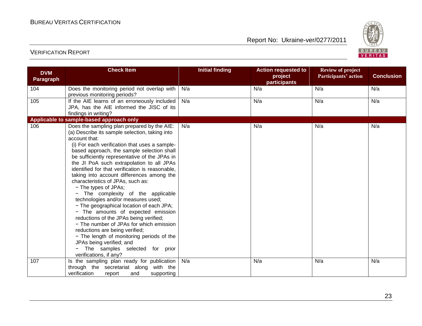

| <b>DVM</b><br><b>Paragraph</b> | <b>Check Item</b>                                                                                                                                                                                                                                                                                                                                                                                                                                                                                                                                                                                                                                                                                                                                                                                                                                                                                | <b>Initial finding</b> | <b>Action requested to</b><br>project<br>participants | <b>Review of project</b><br><b>Participants' action</b> | <b>Conclusion</b> |  |  |
|--------------------------------|--------------------------------------------------------------------------------------------------------------------------------------------------------------------------------------------------------------------------------------------------------------------------------------------------------------------------------------------------------------------------------------------------------------------------------------------------------------------------------------------------------------------------------------------------------------------------------------------------------------------------------------------------------------------------------------------------------------------------------------------------------------------------------------------------------------------------------------------------------------------------------------------------|------------------------|-------------------------------------------------------|---------------------------------------------------------|-------------------|--|--|
| 104                            | Does the monitoring period not overlap with<br>previous monitoring periods?                                                                                                                                                                                                                                                                                                                                                                                                                                                                                                                                                                                                                                                                                                                                                                                                                      | N/a                    | N/a                                                   | N/a                                                     | N/a               |  |  |
| 105                            | If the AIE learns of an erroneously included<br>JPA, has the AIE informed the JISC of its<br>findings in writing?                                                                                                                                                                                                                                                                                                                                                                                                                                                                                                                                                                                                                                                                                                                                                                                | N/a                    | N/a                                                   | N/a                                                     | N/a               |  |  |
|                                | Applicable to sample-based approach only                                                                                                                                                                                                                                                                                                                                                                                                                                                                                                                                                                                                                                                                                                                                                                                                                                                         |                        |                                                       |                                                         |                   |  |  |
| 106                            | Does the sampling plan prepared by the AIE:<br>(a) Describe its sample selection, taking into<br>account that:<br>(i) For each verification that uses a sample-<br>based approach, the sample selection shall<br>be sufficiently representative of the JPAs in<br>the JI PoA such extrapolation to all JPAs<br>identified for that verification is reasonable,<br>taking into account differences among the<br>characteristics of JPAs, such as:<br>- The types of JPAs;<br>The complexity of the applicable<br>technologies and/or measures used;<br>- The geographical location of each JPA;<br>- The amounts of expected emission<br>reductions of the JPAs being verified;<br>- The number of JPAs for which emission<br>reductions are being verified;<br>- The length of monitoring periods of the<br>JPAs being verified; and<br>The samples selected for prior<br>verifications, if any? | N/a                    | N/a                                                   | N/a                                                     | N/a               |  |  |
| 107                            | Is the sampling plan ready for publication                                                                                                                                                                                                                                                                                                                                                                                                                                                                                                                                                                                                                                                                                                                                                                                                                                                       | N/a                    | N/a                                                   | N/a                                                     | N/a               |  |  |
|                                | through the secretariat along with the<br>verification<br>and<br>supporting<br>report                                                                                                                                                                                                                                                                                                                                                                                                                                                                                                                                                                                                                                                                                                                                                                                                            |                        |                                                       |                                                         |                   |  |  |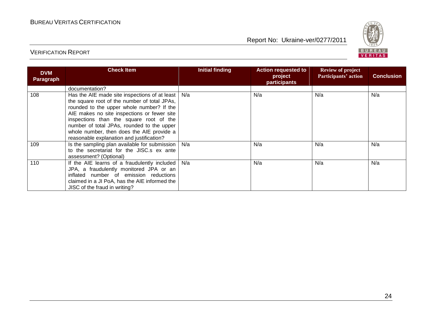

| <b>DVM</b><br>Paragraph | <b>Check Item</b>                                                                                                                                                                                                                                                                                                                                                            | <b>Initial finding</b> | <b>Action requested to</b><br>project<br>participants | <b>Review of project</b><br>Participants' action | <b>Conclusion</b> |
|-------------------------|------------------------------------------------------------------------------------------------------------------------------------------------------------------------------------------------------------------------------------------------------------------------------------------------------------------------------------------------------------------------------|------------------------|-------------------------------------------------------|--------------------------------------------------|-------------------|
|                         | documentation?                                                                                                                                                                                                                                                                                                                                                               |                        |                                                       |                                                  |                   |
| 108                     | Has the AIE made site inspections of at least<br>the square root of the number of total JPAs,<br>rounded to the upper whole number? If the<br>AIE makes no site inspections or fewer site<br>inspections than the square root of the<br>number of total JPAs, rounded to the upper<br>whole number, then does the AIE provide a<br>reasonable explanation and justification? | N/a                    | N/a                                                   | N/a                                              | N/a               |
| 109                     | Is the sampling plan available for submission  <br>to the secretariat for the JISC.s ex ante<br>assessment? (Optional)                                                                                                                                                                                                                                                       | N/a                    | N/a                                                   | N/a                                              | N/a               |
| 110                     | If the AIE learns of a fraudulently included<br>JPA, a fraudulently monitored JPA or an<br>inflated number of emission reductions<br>claimed in a JI PoA, has the AIE informed the<br>JISC of the fraud in writing?                                                                                                                                                          | N/a                    | N/a                                                   | N/a                                              | N/a               |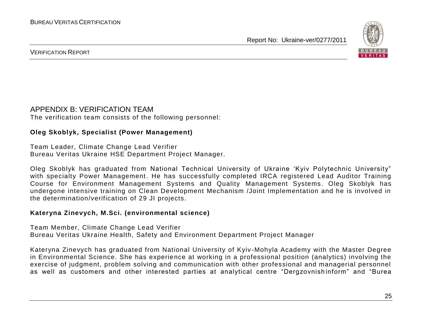

#### VERIFICATION REPORT

#### APPENDIX B: VERIFICATION TEAM The verification team consists of the following personnel:

#### **Oleg Skoblyk, Specialist (Power Management)**

Team Leader, Climate Change Lead Verifier Bureau Veritas Ukraine HSE Department Project Manager.

Oleg Skoblyk has graduated from National Technical University of Ukraine "Kyiv Polytechnic University" with specialty Power Management. He has successfully completed IRCA registered Lead Auditor Training Course for Environment Management Systems and Quality Management Systems. Oleg Skoblyk has undergone intensive training on Clean Development Mechanism /Joint Implementation and he is involved in the determination/verification of 29 JI projects.

#### **Kateryna Zinevych, M.Sci. (environmental science)**

Team Member, Climate Change Lead Verifier Bureau Veritas Ukraine Health, Safety and Environment Department Project Manager

Kateryna Zinevych has graduated from National University of Kyiv -Mohyla Academy with the Master Degree in Environmental Science. She has experience at working in a professional position (analytics) involving the exercise of judgment, problem solving and communication with other professional and managerial personnel as well as customers and other interested parties at analytical centre "Dergzovnish inform" and "Burea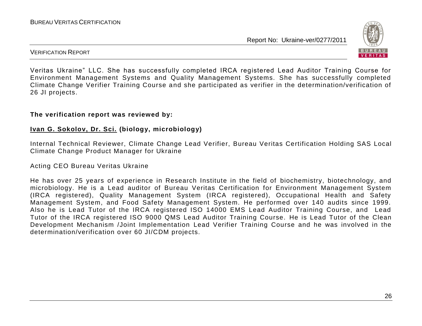

#### VERIFICATION REPORT

Veritas Ukraine" LLC. She has successfully completed IRCA registered Lead Auditor Training Course for Environment Management Systems and Quality Management Systems. She has successfully completed Climate Change Verifier Training Course and she participated as verifier in the determination/verification of 26 JI projects.

#### **The verification report was reviewed by:**

#### **Ivan G. Sokolov, Dr. Sci. (biology, microbiology)**

Internal Technical Reviewer, Climate Change Lead Verifier, Bureau Veritas Certification Holding SAS Local Climate Change Product Manager for Ukraine

#### Acting CEO Bureau Veritas Ukraine

He has over 25 years of experience in Research Institute in the field of biochemistry, biotechnology, and microbiology. He is a Lead auditor of Bureau Veritas Certification for Environment Management System (IRCA registered), Quality Management System (IRCA registered), Occupational Health and Safety Management System, and Food Safety Management System. He performed over 140 audits since 1999. Also he is Lead Tutor of the IRCA registered ISO 14000 EMS Lead Auditor Training Course, and Lead Tutor of the IRCA registered ISO 9000 QMS Lead Auditor Training Course. He is Lead Tutor of the Clean Development Mechanism /Joint Implementation Lead Verifier Training Course and he was involved in the determination/verification over 60 JI/CDM projects.